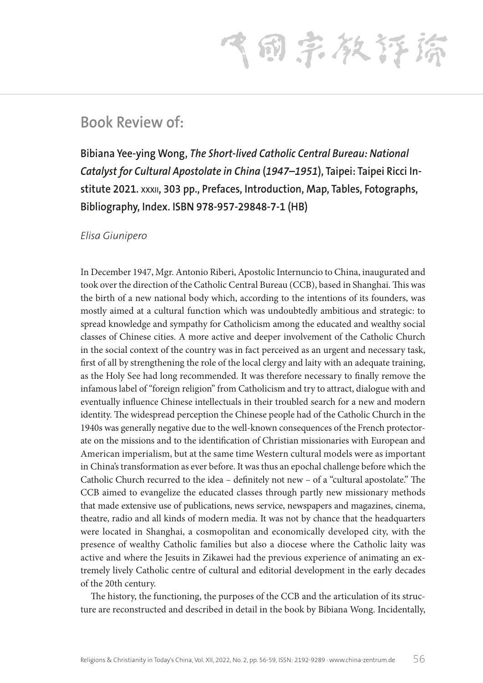飞雨宗教存締

## **Book Review of:**

**Bibiana Yee-ying Wong,** *The Short-lived Catholic Central Bureau: National Catalyst for Cultural Apostolate in China* **(***1947–1951***), Taipei: Taipei Ricci Institute 2021. xxxii, 303 pp., Prefaces, Introduction, Map, Tables, Fotographs, Bibliography, Index. ISBN 978-957-29848-7-1 (HB)**

*Elisa Giunipero*

In December 1947, Mgr. Antonio Riberi, Apostolic Internuncio to China, inaugurated and took over the direction of the Catholic Central Bureau (CCB), based in Shanghai. This was the birth of a new national body which, according to the intentions of its founders, was mostly aimed at a cultural function which was undoubtedly ambitious and strategic: to spread knowledge and sympathy for Catholicism among the educated and wealthy social classes of Chinese cities. A more active and deeper involvement of the Catholic Church in the social context of the country was in fact perceived as an urgent and necessary task, first of all by strengthening the role of the local clergy and laity with an adequate training, as the Holy See had long recommended. It was therefore necessary to finally remove the infamous label of "foreign religion" from Catholicism and try to attract, dialogue with and eventually influence Chinese intellectuals in their troubled search for a new and modern identity. The widespread perception the Chinese people had of the Catholic Church in the 1940s was generally negative due to the well-known consequences of the French protectorate on the missions and to the identification of Christian missionaries with European and American imperialism, but at the same time Western cultural models were as important in China's transformation as ever before. It was thus an epochal challenge before which the Catholic Church recurred to the idea – definitely not new – of a "cultural apostolate." The CCB aimed to evangelize the educated classes through partly new missionary methods that made extensive use of publications, news service, newspapers and magazines, cinema, theatre, radio and all kinds of modern media. It was not by chance that the headquarters were located in Shanghai, a cosmopolitan and economically developed city, with the presence of wealthy Catholic families but also a diocese where the Catholic laity was active and where the Jesuits in Zikawei had the previous experience of animating an extremely lively Catholic centre of cultural and editorial development in the early decades of the 20th century.

The history, the functioning, the purposes of the CCB and the articulation of its structure are reconstructed and described in detail in the book by Bibiana Wong. Incidentally,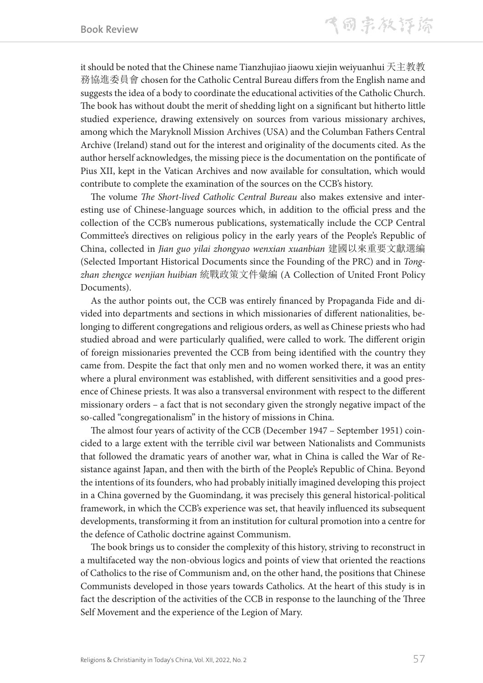it should be noted that the Chinese name Tianzhujiao jiaowu xiejin weiyuanhui 天主教教 務協進委員會 chosen for the Catholic Central Bureau differs from the English name and suggests the idea of a body to coordinate the educational activities of the Catholic Church. The book has without doubt the merit of shedding light on a significant but hitherto little studied experience, drawing extensively on sources from various missionary archives, among which the Maryknoll Mission Archives (USA) and the Columban Fathers Central Archive (Ireland) stand out for the interest and originality of the documents cited. As the author herself acknowledges, the missing piece is the documentation on the pontificate of Pius XII, kept in the Vatican Archives and now available for consultation, which would contribute to complete the examination of the sources on the CCB's history.

The volume *The Short-lived Catholic Central Bureau* also makes extensive and interesting use of Chinese-language sources which, in addition to the official press and the collection of the CCB's numerous publications, systematically include the CCP Central Committee's directives on religious policy in the early years of the People's Republic of China, collected in *Jian guo yilai zhongyao wenxian xuanbian* 建國以來重要文獻選編 (Selected Important Historical Documents since the Founding of the PRC) and in *Tongzhan zhengce wenjian huibian* 統戰政策文件彙編 (A Collection of United Front Policy Documents).

As the author points out, the CCB was entirely financed by Propaganda Fide and divided into departments and sections in which missionaries of different nationalities, belonging to different congregations and religious orders, as well as Chinese priests who had studied abroad and were particularly qualified, were called to work. The different origin of foreign missionaries prevented the CCB from being identified with the country they came from. Despite the fact that only men and no women worked there, it was an entity where a plural environment was established, with different sensitivities and a good presence of Chinese priests. It was also a transversal environment with respect to the different missionary orders – a fact that is not secondary given the strongly negative impact of the so-called "congregationalism" in the history of missions in China.

The almost four years of activity of the CCB (December 1947 – September 1951) coincided to a large extent with the terrible civil war between Nationalists and Communists that followed the dramatic years of another war, what in China is called the War of Resistance against Japan, and then with the birth of the People's Republic of China. Beyond the intentions of its founders, who had probably initially imagined developing this project in a China governed by the Guomindang, it was precisely this general historical-political framework, in which the CCB's experience was set, that heavily influenced its subsequent developments, transforming it from an institution for cultural promotion into a centre for the defence of Catholic doctrine against Communism.

The book brings us to consider the complexity of this history, striving to reconstruct in a multifaceted way the non-obvious logics and points of view that oriented the reactions of Catholics to the rise of Communism and, on the other hand, the positions that Chinese Communists developed in those years towards Catholics. At the heart of this study is in fact the description of the activities of the CCB in response to the launching of the Three Self Movement and the experience of the Legion of Mary.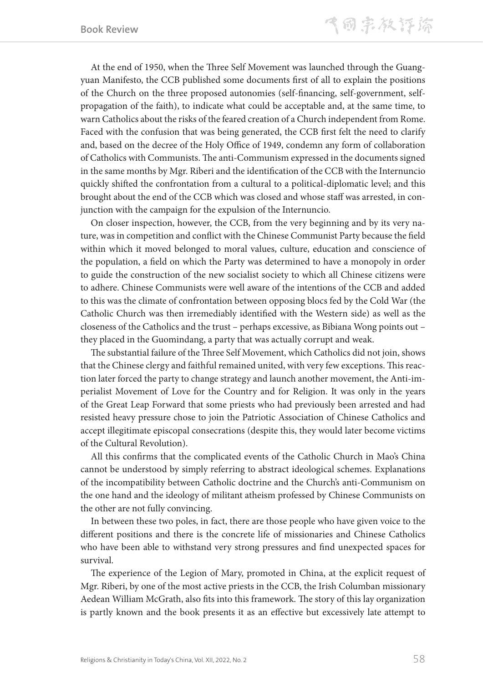At the end of 1950, when the Three Self Movement was launched through the Guangyuan Manifesto, the CCB published some documents first of all to explain the positions of the Church on the three proposed autonomies (self-financing, self-government, selfpropagation of the faith), to indicate what could be acceptable and, at the same time, to warn Catholics about the risks of the feared creation of a Church independent from Rome. Faced with the confusion that was being generated, the CCB first felt the need to clarify and, based on the decree of the Holy Office of 1949, condemn any form of collaboration of Catholics with Communists. The anti-Communism expressed in the documents signed in the same months by Mgr. Riberi and the identification of the CCB with the Internuncio quickly shifted the confrontation from a cultural to a political-diplomatic level; and this brought about the end of the CCB which was closed and whose staff was arrested, in conjunction with the campaign for the expulsion of the Internuncio.

On closer inspection, however, the CCB, from the very beginning and by its very nature, was in competition and conflict with the Chinese Communist Party because the field within which it moved belonged to moral values, culture, education and conscience of the population, a field on which the Party was determined to have a monopoly in order to guide the construction of the new socialist society to which all Chinese citizens were to adhere. Chinese Communists were well aware of the intentions of the CCB and added to this was the climate of confrontation between opposing blocs fed by the Cold War (the Catholic Church was then irremediably identified with the Western side) as well as the closeness of the Catholics and the trust – perhaps excessive, as Bibiana Wong points out – they placed in the Guomindang, a party that was actually corrupt and weak.

The substantial failure of the Three Self Movement, which Catholics did not join, shows that the Chinese clergy and faithful remained united, with very few exceptions. This reaction later forced the party to change strategy and launch another movement, the Anti-imperialist Movement of Love for the Country and for Religion. It was only in the years of the Great Leap Forward that some priests who had previously been arrested and had resisted heavy pressure chose to join the Patriotic Association of Chinese Catholics and accept illegitimate episcopal consecrations (despite this, they would later become victims of the Cultural Revolution).

All this confirms that the complicated events of the Catholic Church in Mao's China cannot be understood by simply referring to abstract ideological schemes. Explanations of the incompatibility between Catholic doctrine and the Church's anti-Communism on the one hand and the ideology of militant atheism professed by Chinese Communists on the other are not fully convincing.

In between these two poles, in fact, there are those people who have given voice to the different positions and there is the concrete life of missionaries and Chinese Catholics who have been able to withstand very strong pressures and find unexpected spaces for survival.

The experience of the Legion of Mary, promoted in China, at the explicit request of Mgr. Riberi, by one of the most active priests in the CCB, the Irish Columban missionary Aedean William McGrath, also fits into this framework. The story of this lay organization is partly known and the book presents it as an effective but excessively late attempt to